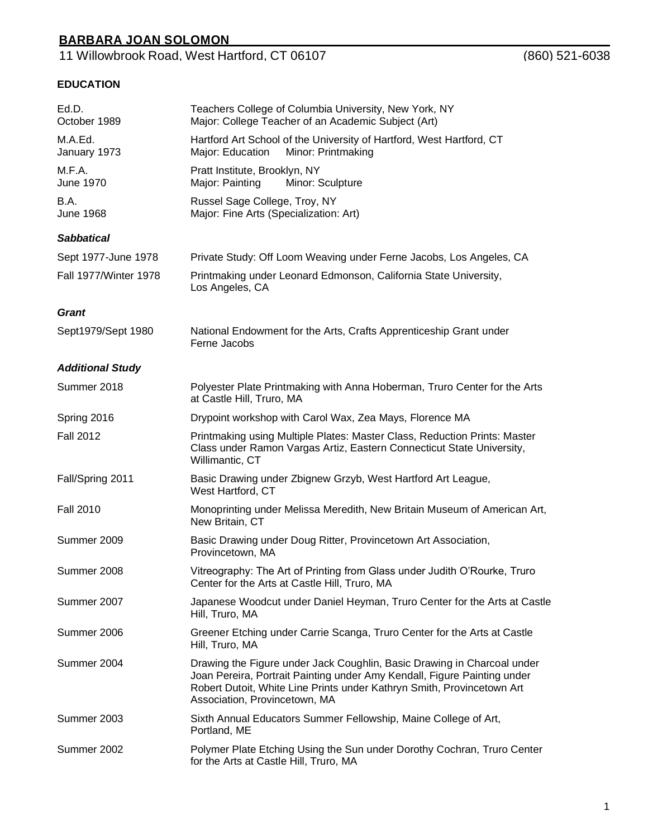11 Willowbrook Road, West Hartford, CT 06107 (860) 521-6038

### **EDUCATION**

| Ed.D.<br>October 1989        | Teachers College of Columbia University, New York, NY<br>Major: College Teacher of an Academic Subject (Art)                                                                                                                                                   |
|------------------------------|----------------------------------------------------------------------------------------------------------------------------------------------------------------------------------------------------------------------------------------------------------------|
| M.A.Ed.<br>January 1973      | Hartford Art School of the University of Hartford, West Hartford, CT<br>Minor: Printmaking<br>Major: Education                                                                                                                                                 |
| M.F.A.<br><b>June 1970</b>   | Pratt Institute, Brooklyn, NY<br>Major: Painting<br>Minor: Sculpture                                                                                                                                                                                           |
| B.A.<br><b>June 1968</b>     | Russel Sage College, Troy, NY<br>Major: Fine Arts (Specialization: Art)                                                                                                                                                                                        |
| <b>Sabbatical</b>            |                                                                                                                                                                                                                                                                |
| Sept 1977-June 1978          | Private Study: Off Loom Weaving under Ferne Jacobs, Los Angeles, CA                                                                                                                                                                                            |
| <b>Fall 1977/Winter 1978</b> | Printmaking under Leonard Edmonson, California State University,<br>Los Angeles, CA                                                                                                                                                                            |
| <b>Grant</b>                 |                                                                                                                                                                                                                                                                |
| Sept1979/Sept 1980           | National Endowment for the Arts, Crafts Apprenticeship Grant under<br>Ferne Jacobs                                                                                                                                                                             |
| <b>Additional Study</b>      |                                                                                                                                                                                                                                                                |
| Summer 2018                  | Polyester Plate Printmaking with Anna Hoberman, Truro Center for the Arts<br>at Castle Hill, Truro, MA                                                                                                                                                         |
| Spring 2016                  | Drypoint workshop with Carol Wax, Zea Mays, Florence MA                                                                                                                                                                                                        |
| <b>Fall 2012</b>             | Printmaking using Multiple Plates: Master Class, Reduction Prints: Master<br>Class under Ramon Vargas Artiz, Eastern Connecticut State University,<br>Willimantic, CT                                                                                          |
| Fall/Spring 2011             | Basic Drawing under Zbignew Grzyb, West Hartford Art League,<br>West Hartford, CT                                                                                                                                                                              |
| <b>Fall 2010</b>             | Monoprinting under Melissa Meredith, New Britain Museum of American Art,<br>New Britain, CT                                                                                                                                                                    |
| Summer 2009                  | Basic Drawing under Doug Ritter, Provincetown Art Association,<br>Provincetown, MA                                                                                                                                                                             |
| Summer 2008                  | Vitreography: The Art of Printing from Glass under Judith O'Rourke, Truro<br>Center for the Arts at Castle Hill, Truro, MA                                                                                                                                     |
| Summer 2007                  | Japanese Woodcut under Daniel Heyman, Truro Center for the Arts at Castle<br>Hill, Truro, MA                                                                                                                                                                   |
| Summer 2006                  | Greener Etching under Carrie Scanga, Truro Center for the Arts at Castle<br>Hill, Truro, MA                                                                                                                                                                    |
| Summer 2004                  | Drawing the Figure under Jack Coughlin, Basic Drawing in Charcoal under<br>Joan Pereira, Portrait Painting under Amy Kendall, Figure Painting under<br>Robert Dutoit, White Line Prints under Kathryn Smith, Provincetown Art<br>Association, Provincetown, MA |
| Summer 2003                  | Sixth Annual Educators Summer Fellowship, Maine College of Art,<br>Portland, ME                                                                                                                                                                                |
| Summer 2002                  | Polymer Plate Etching Using the Sun under Dorothy Cochran, Truro Center<br>for the Arts at Castle Hill, Truro, MA                                                                                                                                              |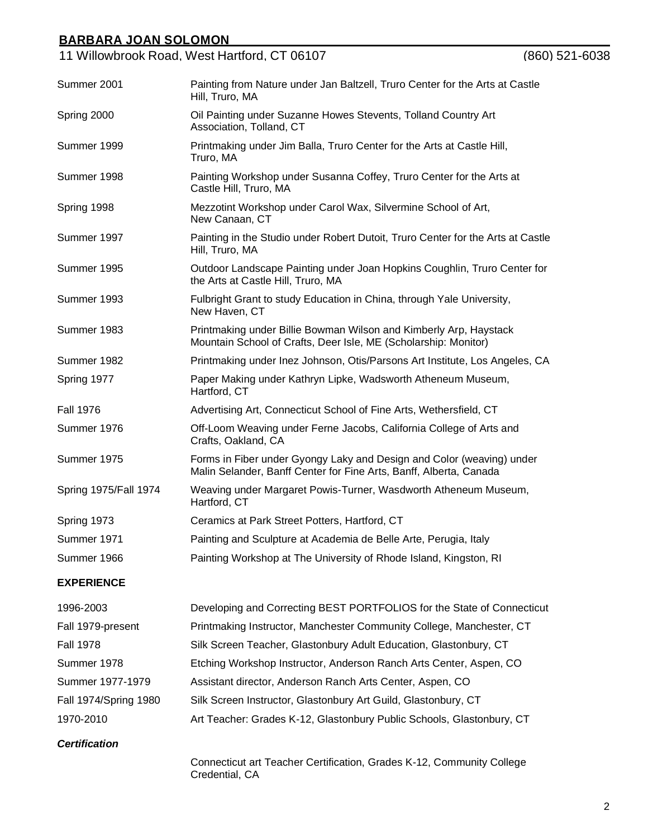11 Willowbrook Road, West Hartford, CT 06107 (860) 521-6038

| Summer 2001           | Painting from Nature under Jan Baltzell, Truro Center for the Arts at Castle<br>Hill, Truro, MA                                             |
|-----------------------|---------------------------------------------------------------------------------------------------------------------------------------------|
| Spring 2000           | Oil Painting under Suzanne Howes Stevents, Tolland Country Art<br>Association, Tolland, CT                                                  |
| Summer 1999           | Printmaking under Jim Balla, Truro Center for the Arts at Castle Hill,<br>Truro, MA                                                         |
| Summer 1998           | Painting Workshop under Susanna Coffey, Truro Center for the Arts at<br>Castle Hill, Truro, MA                                              |
| Spring 1998           | Mezzotint Workshop under Carol Wax, Silvermine School of Art,<br>New Canaan, CT                                                             |
| Summer 1997           | Painting in the Studio under Robert Dutoit, Truro Center for the Arts at Castle<br>Hill, Truro, MA                                          |
| Summer 1995           | Outdoor Landscape Painting under Joan Hopkins Coughlin, Truro Center for<br>the Arts at Castle Hill, Truro, MA                              |
| Summer 1993           | Fulbright Grant to study Education in China, through Yale University,<br>New Haven, CT                                                      |
| Summer 1983           | Printmaking under Billie Bowman Wilson and Kimberly Arp, Haystack<br>Mountain School of Crafts, Deer Isle, ME (Scholarship: Monitor)        |
| Summer 1982           | Printmaking under Inez Johnson, Otis/Parsons Art Institute, Los Angeles, CA                                                                 |
| Spring 1977           | Paper Making under Kathryn Lipke, Wadsworth Atheneum Museum,<br>Hartford, CT                                                                |
| <b>Fall 1976</b>      | Advertising Art, Connecticut School of Fine Arts, Wethersfield, CT                                                                          |
| Summer 1976           | Off-Loom Weaving under Ferne Jacobs, California College of Arts and<br>Crafts, Oakland, CA                                                  |
| Summer 1975           | Forms in Fiber under Gyongy Laky and Design and Color (weaving) under<br>Malin Selander, Banff Center for Fine Arts, Banff, Alberta, Canada |
| Spring 1975/Fall 1974 | Weaving under Margaret Powis-Turner, Wasdworth Atheneum Museum,<br>Hartford, CT                                                             |
| Spring 1973           | Ceramics at Park Street Potters, Hartford, CT                                                                                               |
| Summer 1971           | Painting and Sculpture at Academia de Belle Arte, Perugia, Italy                                                                            |
| Summer 1966           | Painting Workshop at The University of Rhode Island, Kingston, RI                                                                           |
| <b>EXPERIENCE</b>     |                                                                                                                                             |
| 1996-2003             | Developing and Correcting BEST PORTFOLIOS for the State of Connecticut                                                                      |
| Fall 1979-present     | Printmaking Instructor, Manchester Community College, Manchester, CT                                                                        |
| <b>Fall 1978</b>      | Silk Screen Teacher, Glastonbury Adult Education, Glastonbury, CT                                                                           |
| Summer 1978           | Etching Workshop Instructor, Anderson Ranch Arts Center, Aspen, CO                                                                          |
| Summer 1977-1979      | Assistant director, Anderson Ranch Arts Center, Aspen, CO                                                                                   |

Fall 1974/Spring 1980 Silk Screen Instructor, Glastonbury Art Guild, Glastonbury, CT

1970-2010 Art Teacher: Grades K-12, Glastonbury Public Schools, Glastonbury, CT

*Certification*

Connecticut art Teacher Certification, Grades K-12, Community College Credential, CA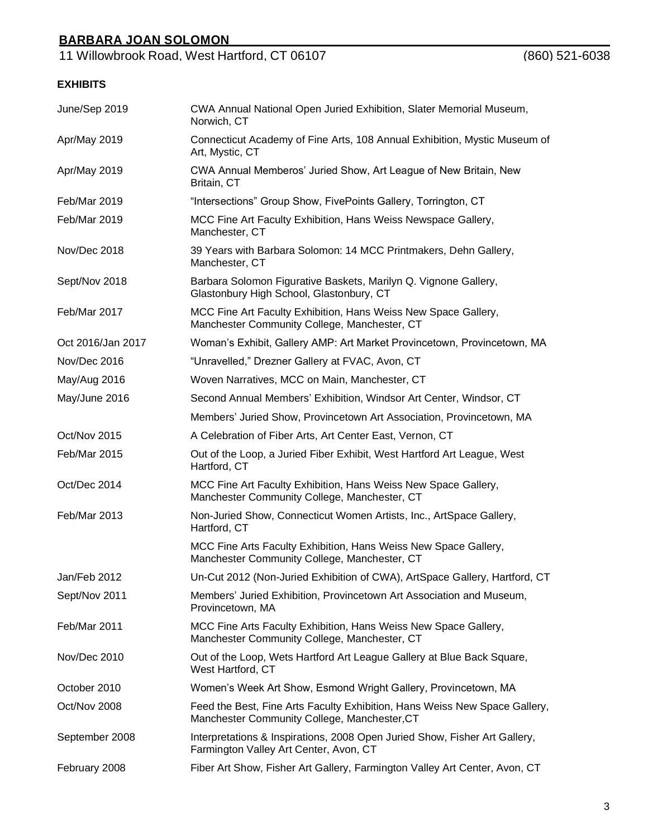11 Willowbrook Road, West Hartford, CT 06107 (860) 521-6038

## **EXHIBITS**

| June/Sep 2019     | CWA Annual National Open Juried Exhibition, Slater Memorial Museum,<br>Norwich, CT                                         |
|-------------------|----------------------------------------------------------------------------------------------------------------------------|
| Apr/May 2019      | Connecticut Academy of Fine Arts, 108 Annual Exhibition, Mystic Museum of<br>Art, Mystic, CT                               |
| Apr/May 2019      | CWA Annual Memberos' Juried Show, Art League of New Britain, New<br>Britain, CT                                            |
| Feb/Mar 2019      | "Intersections" Group Show, FivePoints Gallery, Torrington, CT                                                             |
| Feb/Mar 2019      | MCC Fine Art Faculty Exhibition, Hans Weiss Newspace Gallery,<br>Manchester, CT                                            |
| Nov/Dec 2018      | 39 Years with Barbara Solomon: 14 MCC Printmakers, Dehn Gallery,<br>Manchester, CT                                         |
| Sept/Nov 2018     | Barbara Solomon Figurative Baskets, Marilyn Q. Vignone Gallery,<br>Glastonbury High School, Glastonbury, CT                |
| Feb/Mar 2017      | MCC Fine Art Faculty Exhibition, Hans Weiss New Space Gallery,<br>Manchester Community College, Manchester, CT             |
| Oct 2016/Jan 2017 | Woman's Exhibit, Gallery AMP: Art Market Provincetown, Provincetown, MA                                                    |
| Nov/Dec 2016      | "Unravelled," Drezner Gallery at FVAC, Avon, CT                                                                            |
| May/Aug 2016      | Woven Narratives, MCC on Main, Manchester, CT                                                                              |
| May/June 2016     | Second Annual Members' Exhibition, Windsor Art Center, Windsor, CT                                                         |
|                   | Members' Juried Show, Provincetown Art Association, Provincetown, MA                                                       |
| Oct/Nov 2015      | A Celebration of Fiber Arts, Art Center East, Vernon, CT                                                                   |
| Feb/Mar 2015      | Out of the Loop, a Juried Fiber Exhibit, West Hartford Art League, West<br>Hartford, CT                                    |
| Oct/Dec 2014      | MCC Fine Art Faculty Exhibition, Hans Weiss New Space Gallery,<br>Manchester Community College, Manchester, CT             |
| Feb/Mar 2013      | Non-Juried Show, Connecticut Women Artists, Inc., ArtSpace Gallery,<br>Hartford, CT                                        |
|                   | MCC Fine Arts Faculty Exhibition, Hans Weiss New Space Gallery,<br>Manchester Community College, Manchester, CT            |
| Jan/Feb 2012      | Un-Cut 2012 (Non-Juried Exhibition of CWA), ArtSpace Gallery, Hartford, CT                                                 |
| Sept/Nov 2011     | Members' Juried Exhibition, Provincetown Art Association and Museum,<br>Provincetown, MA                                   |
| Feb/Mar 2011      | MCC Fine Arts Faculty Exhibition, Hans Weiss New Space Gallery,<br>Manchester Community College, Manchester, CT            |
| Nov/Dec 2010      | Out of the Loop, Wets Hartford Art League Gallery at Blue Back Square,<br>West Hartford, CT                                |
| October 2010      | Women's Week Art Show, Esmond Wright Gallery, Provincetown, MA                                                             |
| Oct/Nov 2008      | Feed the Best, Fine Arts Faculty Exhibition, Hans Weiss New Space Gallery,<br>Manchester Community College, Manchester, CT |
| September 2008    | Interpretations & Inspirations, 2008 Open Juried Show, Fisher Art Gallery,<br>Farmington Valley Art Center, Avon, CT       |
| February 2008     | Fiber Art Show, Fisher Art Gallery, Farmington Valley Art Center, Avon, CT                                                 |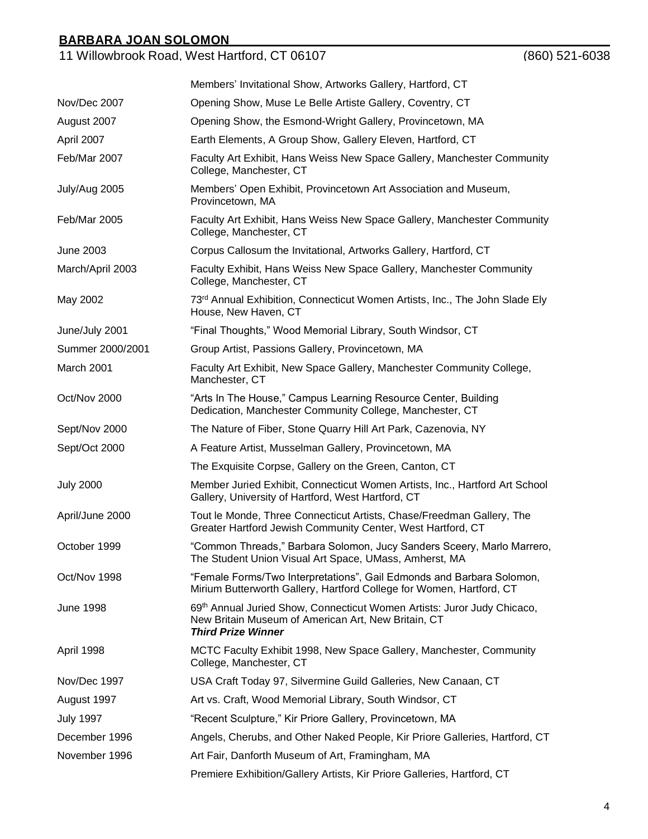11 Willowbrook Road, West Hartford, CT 06107 (860) 521-6038

|                  | Members' Invitational Show, Artworks Gallery, Hartford, CT                                                                                                  |  |  |
|------------------|-------------------------------------------------------------------------------------------------------------------------------------------------------------|--|--|
| Nov/Dec 2007     | Opening Show, Muse Le Belle Artiste Gallery, Coventry, CT                                                                                                   |  |  |
| August 2007      | Opening Show, the Esmond-Wright Gallery, Provincetown, MA                                                                                                   |  |  |
| April 2007       | Earth Elements, A Group Show, Gallery Eleven, Hartford, CT                                                                                                  |  |  |
| Feb/Mar 2007     | Faculty Art Exhibit, Hans Weiss New Space Gallery, Manchester Community<br>College, Manchester, CT                                                          |  |  |
| July/Aug 2005    | Members' Open Exhibit, Provincetown Art Association and Museum,<br>Provincetown, MA                                                                         |  |  |
| Feb/Mar 2005     | Faculty Art Exhibit, Hans Weiss New Space Gallery, Manchester Community<br>College, Manchester, CT                                                          |  |  |
| June 2003        | Corpus Callosum the Invitational, Artworks Gallery, Hartford, CT                                                                                            |  |  |
| March/April 2003 | Faculty Exhibit, Hans Weiss New Space Gallery, Manchester Community<br>College, Manchester, CT                                                              |  |  |
| May 2002         | 73rd Annual Exhibition, Connecticut Women Artists, Inc., The John Slade Ely<br>House, New Haven, CT                                                         |  |  |
| June/July 2001   | "Final Thoughts," Wood Memorial Library, South Windsor, CT                                                                                                  |  |  |
| Summer 2000/2001 | Group Artist, Passions Gallery, Provincetown, MA                                                                                                            |  |  |
| March 2001       | Faculty Art Exhibit, New Space Gallery, Manchester Community College,<br>Manchester, CT                                                                     |  |  |
| Oct/Nov 2000     | "Arts In The House," Campus Learning Resource Center, Building<br>Dedication, Manchester Community College, Manchester, CT                                  |  |  |
| Sept/Nov 2000    | The Nature of Fiber, Stone Quarry Hill Art Park, Cazenovia, NY                                                                                              |  |  |
| Sept/Oct 2000    | A Feature Artist, Musselman Gallery, Provincetown, MA                                                                                                       |  |  |
|                  | The Exquisite Corpse, Gallery on the Green, Canton, CT                                                                                                      |  |  |
| <b>July 2000</b> | Member Juried Exhibit, Connecticut Women Artists, Inc., Hartford Art School<br>Gallery, University of Hartford, West Hartford, CT                           |  |  |
| April/June 2000  | Tout le Monde, Three Connecticut Artists, Chase/Freedman Gallery, The<br>Greater Hartford Jewish Community Center, West Hartford, CT                        |  |  |
| October 1999     | "Common Threads," Barbara Solomon, Jucy Sanders Sceery, Marlo Marrero,<br>The Student Union Visual Art Space, UMass, Amherst, MA                            |  |  |
| Oct/Nov 1998     | "Female Forms/Two Interpretations", Gail Edmonds and Barbara Solomon,<br>Mirium Butterworth Gallery, Hartford College for Women, Hartford, CT               |  |  |
| <b>June 1998</b> | 69th Annual Juried Show, Connecticut Women Artists: Juror Judy Chicaco,<br>New Britain Museum of American Art, New Britain, CT<br><b>Third Prize Winner</b> |  |  |
| April 1998       | MCTC Faculty Exhibit 1998, New Space Gallery, Manchester, Community<br>College, Manchester, CT                                                              |  |  |
| Nov/Dec 1997     | USA Craft Today 97, Silvermine Guild Galleries, New Canaan, CT                                                                                              |  |  |
| August 1997      | Art vs. Craft, Wood Memorial Library, South Windsor, CT                                                                                                     |  |  |
| <b>July 1997</b> | "Recent Sculpture," Kir Priore Gallery, Provincetown, MA                                                                                                    |  |  |
| December 1996    | Angels, Cherubs, and Other Naked People, Kir Priore Galleries, Hartford, CT                                                                                 |  |  |
| November 1996    | Art Fair, Danforth Museum of Art, Framingham, MA                                                                                                            |  |  |
|                  | Premiere Exhibition/Gallery Artists, Kir Priore Galleries, Hartford, CT                                                                                     |  |  |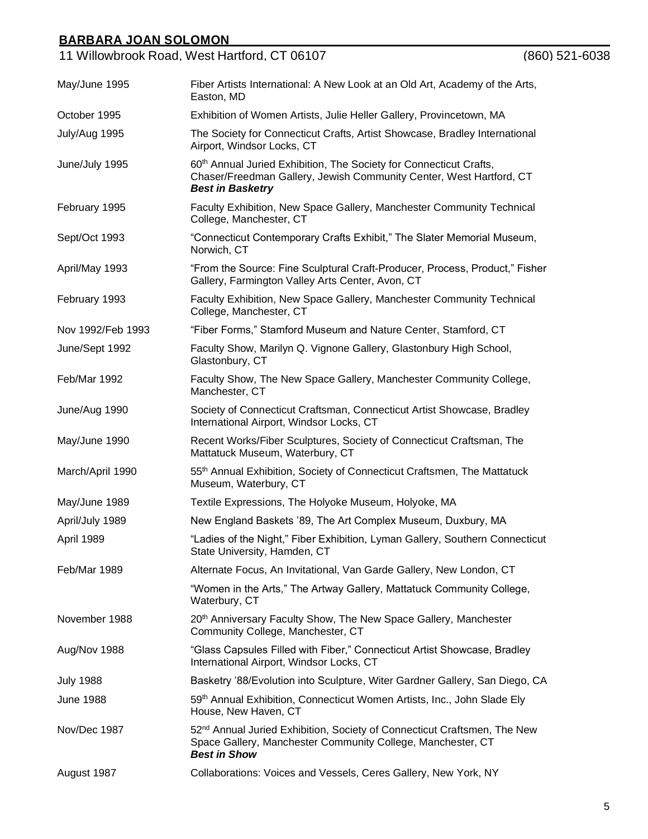|                   | 11 Willowbrook Road, West Hartford, CT 06107                                                                                                                                     | $(860)$ 521-6038 |
|-------------------|----------------------------------------------------------------------------------------------------------------------------------------------------------------------------------|------------------|
| May/June 1995     | Fiber Artists International: A New Look at an Old Art, Academy of the Arts,<br>Easton, MD                                                                                        |                  |
| October 1995      | Exhibition of Women Artists, Julie Heller Gallery, Provincetown, MA                                                                                                              |                  |
| July/Aug 1995     | The Society for Connecticut Crafts, Artist Showcase, Bradley International<br>Airport, Windsor Locks, CT                                                                         |                  |
| June/July 1995    | 60 <sup>th</sup> Annual Juried Exhibition, The Society for Connecticut Crafts,<br>Chaser/Freedman Gallery, Jewish Community Center, West Hartford, CT<br><b>Best in Basketry</b> |                  |
| February 1995     | Faculty Exhibition, New Space Gallery, Manchester Community Technical<br>College, Manchester, CT                                                                                 |                  |
| Sept/Oct 1993     | "Connecticut Contemporary Crafts Exhibit," The Slater Memorial Museum,<br>Norwich, CT                                                                                            |                  |
| April/May 1993    | "From the Source: Fine Sculptural Craft-Producer, Process, Product," Fisher<br>Gallery, Farmington Valley Arts Center, Avon, CT                                                  |                  |
| February 1993     | Faculty Exhibition, New Space Gallery, Manchester Community Technical<br>College, Manchester, CT                                                                                 |                  |
| Nov 1992/Feb 1993 | "Fiber Forms," Stamford Museum and Nature Center, Stamford, CT                                                                                                                   |                  |
| June/Sept 1992    | Faculty Show, Marilyn Q. Vignone Gallery, Glastonbury High School,<br>Glastonbury, CT                                                                                            |                  |
| Feb/Mar 1992      | Faculty Show, The New Space Gallery, Manchester Community College,<br>Manchester, CT                                                                                             |                  |
| June/Aug 1990     | Society of Connecticut Craftsman, Connecticut Artist Showcase, Bradley<br>International Airport, Windsor Locks, CT                                                               |                  |
| May/June 1990     | Recent Works/Fiber Sculptures, Society of Connecticut Craftsman, The<br>Mattatuck Museum, Waterbury, CT                                                                          |                  |
| March/April 1990  | 55 <sup>th</sup> Annual Exhibition, Society of Connecticut Craftsmen, The Mattatuck<br>Museum, Waterbury, CT                                                                     |                  |
| May/June 1989     | Textile Expressions, The Holyoke Museum, Holyoke, MA                                                                                                                             |                  |
| April/July 1989   | New England Baskets '89, The Art Complex Museum, Duxbury, MA                                                                                                                     |                  |
| April 1989        | "Ladies of the Night," Fiber Exhibition, Lyman Gallery, Southern Connecticut<br>State University, Hamden, CT                                                                     |                  |
| Feb/Mar 1989      | Alternate Focus, An Invitational, Van Garde Gallery, New London, CT                                                                                                              |                  |
|                   | "Women in the Arts," The Artway Gallery, Mattatuck Community College,<br>Waterbury, CT                                                                                           |                  |
| November 1988     | 20th Anniversary Faculty Show, The New Space Gallery, Manchester<br>Community College, Manchester, CT                                                                            |                  |
| Aug/Nov 1988      | "Glass Capsules Filled with Fiber," Connecticut Artist Showcase, Bradley<br>International Airport, Windsor Locks, CT                                                             |                  |
| <b>July 1988</b>  | Basketry '88/Evolution into Sculpture, Witer Gardner Gallery, San Diego, CA                                                                                                      |                  |
| June 1988         | 59th Annual Exhibition, Connecticut Women Artists, Inc., John Slade Ely<br>House, New Haven, CT                                                                                  |                  |
| Nov/Dec 1987      | 52 <sup>nd</sup> Annual Juried Exhibition, Society of Connecticut Craftsmen, The New<br>Space Gallery, Manchester Community College, Manchester, CT<br><b>Best in Show</b>       |                  |
| August 1987       | Collaborations: Voices and Vessels, Ceres Gallery, New York, NY                                                                                                                  |                  |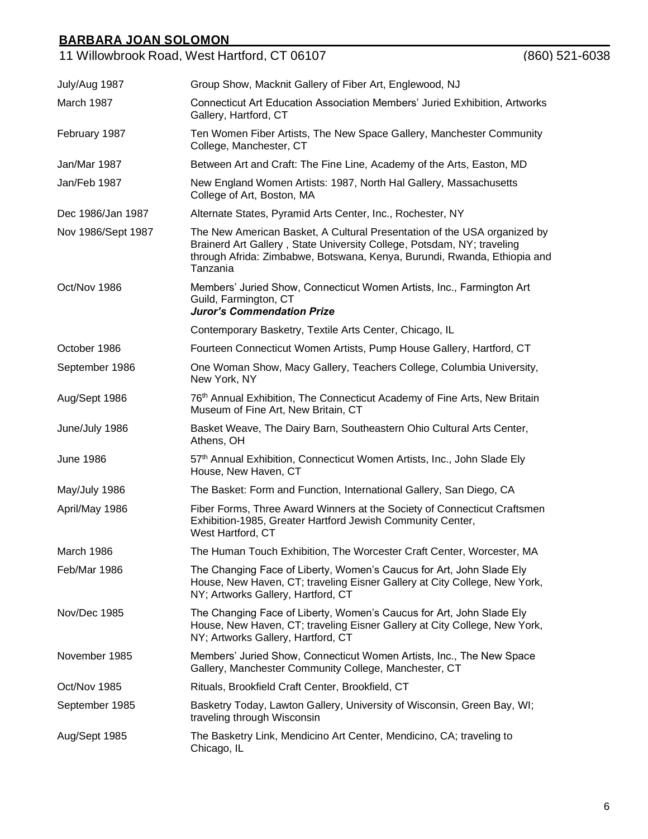|                    | 11 Willowbrook Road, West Hartford, CT 06107                                                                                                                                                                                               | $(860)$ 521-6038 |
|--------------------|--------------------------------------------------------------------------------------------------------------------------------------------------------------------------------------------------------------------------------------------|------------------|
| July/Aug 1987      | Group Show, Macknit Gallery of Fiber Art, Englewood, NJ                                                                                                                                                                                    |                  |
| March 1987         | <b>Connecticut Art Education Association Members' Juried Exhibition, Artworks</b><br>Gallery, Hartford, CT                                                                                                                                 |                  |
| February 1987      | Ten Women Fiber Artists, The New Space Gallery, Manchester Community<br>College, Manchester, CT                                                                                                                                            |                  |
| Jan/Mar 1987       | Between Art and Craft: The Fine Line, Academy of the Arts, Easton, MD                                                                                                                                                                      |                  |
| Jan/Feb 1987       | New England Women Artists: 1987, North Hal Gallery, Massachusetts<br>College of Art, Boston, MA                                                                                                                                            |                  |
| Dec 1986/Jan 1987  | Alternate States, Pyramid Arts Center, Inc., Rochester, NY                                                                                                                                                                                 |                  |
| Nov 1986/Sept 1987 | The New American Basket, A Cultural Presentation of the USA organized by<br>Brainerd Art Gallery, State University College, Potsdam, NY; traveling<br>through Afrida: Zimbabwe, Botswana, Kenya, Burundi, Rwanda, Ethiopia and<br>Tanzania |                  |
| Oct/Nov 1986       | Members' Juried Show, Connecticut Women Artists, Inc., Farmington Art<br>Guild, Farmington, CT<br><b>Juror's Commendation Prize</b>                                                                                                        |                  |
|                    | Contemporary Basketry, Textile Arts Center, Chicago, IL                                                                                                                                                                                    |                  |
| October 1986       | Fourteen Connecticut Women Artists, Pump House Gallery, Hartford, CT                                                                                                                                                                       |                  |
| September 1986     | One Woman Show, Macy Gallery, Teachers College, Columbia University,<br>New York, NY                                                                                                                                                       |                  |
| Aug/Sept 1986      | 76 <sup>th</sup> Annual Exhibition, The Connecticut Academy of Fine Arts, New Britain<br>Museum of Fine Art, New Britain, CT                                                                                                               |                  |
| June/July 1986     | Basket Weave, The Dairy Barn, Southeastern Ohio Cultural Arts Center,<br>Athens, OH                                                                                                                                                        |                  |
| June 1986          | 57th Annual Exhibition, Connecticut Women Artists, Inc., John Slade Ely<br>House, New Haven, CT                                                                                                                                            |                  |
| May/July 1986      | The Basket: Form and Function, International Gallery, San Diego, CA                                                                                                                                                                        |                  |
| April/May 1986     | Fiber Forms, Three Award Winners at the Society of Connecticut Craftsmen<br>Exhibition-1985, Greater Hartford Jewish Community Center,<br>West Hartford, CT                                                                                |                  |
| March 1986         | The Human Touch Exhibition, The Worcester Craft Center, Worcester, MA                                                                                                                                                                      |                  |
| Feb/Mar 1986       | The Changing Face of Liberty, Women's Caucus for Art, John Slade Ely<br>House, New Haven, CT; traveling Eisner Gallery at City College, New York,<br>NY; Artworks Gallery, Hartford, CT                                                    |                  |
| Nov/Dec 1985       | The Changing Face of Liberty, Women's Caucus for Art, John Slade Ely<br>House, New Haven, CT; traveling Eisner Gallery at City College, New York,<br>NY; Artworks Gallery, Hartford, CT                                                    |                  |
| November 1985      | Members' Juried Show, Connecticut Women Artists, Inc., The New Space<br>Gallery, Manchester Community College, Manchester, CT                                                                                                              |                  |
| Oct/Nov 1985       | Rituals, Brookfield Craft Center, Brookfield, CT                                                                                                                                                                                           |                  |
| September 1985     | Basketry Today, Lawton Gallery, University of Wisconsin, Green Bay, WI;<br>traveling through Wisconsin                                                                                                                                     |                  |
| Aug/Sept 1985      | The Basketry Link, Mendicino Art Center, Mendicino, CA; traveling to<br>Chicago, IL                                                                                                                                                        |                  |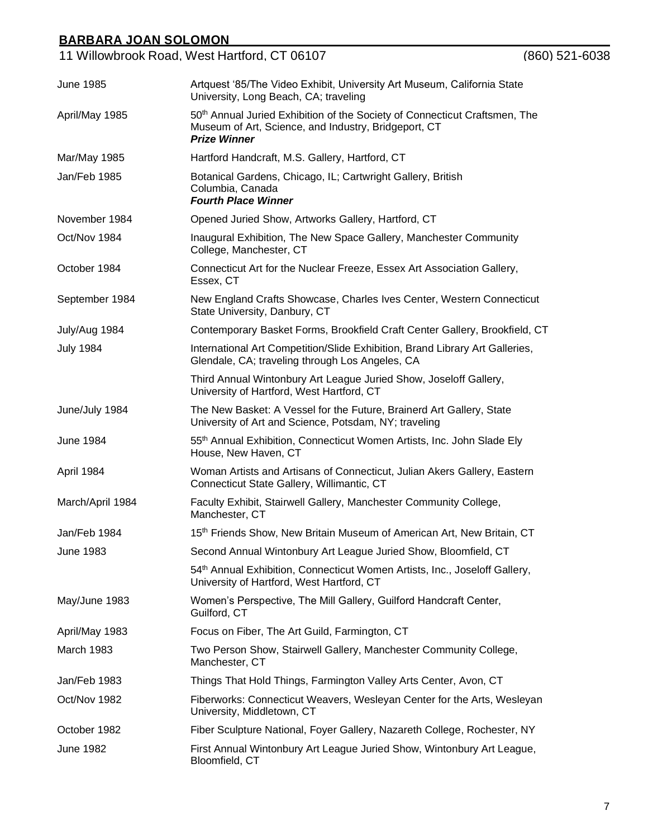|                  | 11 Willowbrook Road, West Hartford, CT 06107                                                                                                                          | $(860)$ 521-6038 |
|------------------|-----------------------------------------------------------------------------------------------------------------------------------------------------------------------|------------------|
| <b>June 1985</b> | Artquest '85/The Video Exhibit, University Art Museum, California State<br>University, Long Beach, CA; traveling                                                      |                  |
| April/May 1985   | 50 <sup>th</sup> Annual Juried Exhibition of the Society of Connecticut Craftsmen, The<br>Museum of Art, Science, and Industry, Bridgeport, CT<br><b>Prize Winner</b> |                  |
| Mar/May 1985     | Hartford Handcraft, M.S. Gallery, Hartford, CT                                                                                                                        |                  |
| Jan/Feb 1985     | Botanical Gardens, Chicago, IL; Cartwright Gallery, British<br>Columbia, Canada<br><b>Fourth Place Winner</b>                                                         |                  |
| November 1984    | Opened Juried Show, Artworks Gallery, Hartford, CT                                                                                                                    |                  |
| Oct/Nov 1984     | Inaugural Exhibition, The New Space Gallery, Manchester Community<br>College, Manchester, CT                                                                          |                  |
| October 1984     | Connecticut Art for the Nuclear Freeze, Essex Art Association Gallery,<br>Essex, CT                                                                                   |                  |
| September 1984   | New England Crafts Showcase, Charles Ives Center, Western Connecticut<br>State University, Danbury, CT                                                                |                  |
| July/Aug 1984    | Contemporary Basket Forms, Brookfield Craft Center Gallery, Brookfield, CT                                                                                            |                  |
| <b>July 1984</b> | International Art Competition/Slide Exhibition, Brand Library Art Galleries,<br>Glendale, CA; traveling through Los Angeles, CA                                       |                  |
|                  | Third Annual Wintonbury Art League Juried Show, Joseloff Gallery,<br>University of Hartford, West Hartford, CT                                                        |                  |
| June/July 1984   | The New Basket: A Vessel for the Future, Brainerd Art Gallery, State<br>University of Art and Science, Potsdam, NY; traveling                                         |                  |
| <b>June 1984</b> | 55th Annual Exhibition, Connecticut Women Artists, Inc. John Slade Ely<br>House, New Haven, CT                                                                        |                  |
| April 1984       | Woman Artists and Artisans of Connecticut, Julian Akers Gallery, Eastern<br>Connecticut State Gallery, Willimantic, CT                                                |                  |
| March/April 1984 | Faculty Exhibit, Stairwell Gallery, Manchester Community College,<br>Manchester, CT                                                                                   |                  |
| Jan/Feb 1984     | 15 <sup>th</sup> Friends Show, New Britain Museum of American Art, New Britain, CT                                                                                    |                  |
| <b>June 1983</b> | Second Annual Wintonbury Art League Juried Show, Bloomfield, CT                                                                                                       |                  |
|                  | 54th Annual Exhibition, Connecticut Women Artists, Inc., Joseloff Gallery,<br>University of Hartford, West Hartford, CT                                               |                  |
| May/June 1983    | Women's Perspective, The Mill Gallery, Guilford Handcraft Center,<br>Guilford, CT                                                                                     |                  |
| April/May 1983   | Focus on Fiber, The Art Guild, Farmington, CT                                                                                                                         |                  |
| March 1983       | Two Person Show, Stairwell Gallery, Manchester Community College,<br>Manchester, CT                                                                                   |                  |
| Jan/Feb 1983     | Things That Hold Things, Farmington Valley Arts Center, Avon, CT                                                                                                      |                  |
| Oct/Nov 1982     | Fiberworks: Connecticut Weavers, Wesleyan Center for the Arts, Wesleyan<br>University, Middletown, CT                                                                 |                  |
| October 1982     | Fiber Sculpture National, Foyer Gallery, Nazareth College, Rochester, NY                                                                                              |                  |
| <b>June 1982</b> | First Annual Wintonbury Art League Juried Show, Wintonbury Art League,<br>Bloomfield, CT                                                                              |                  |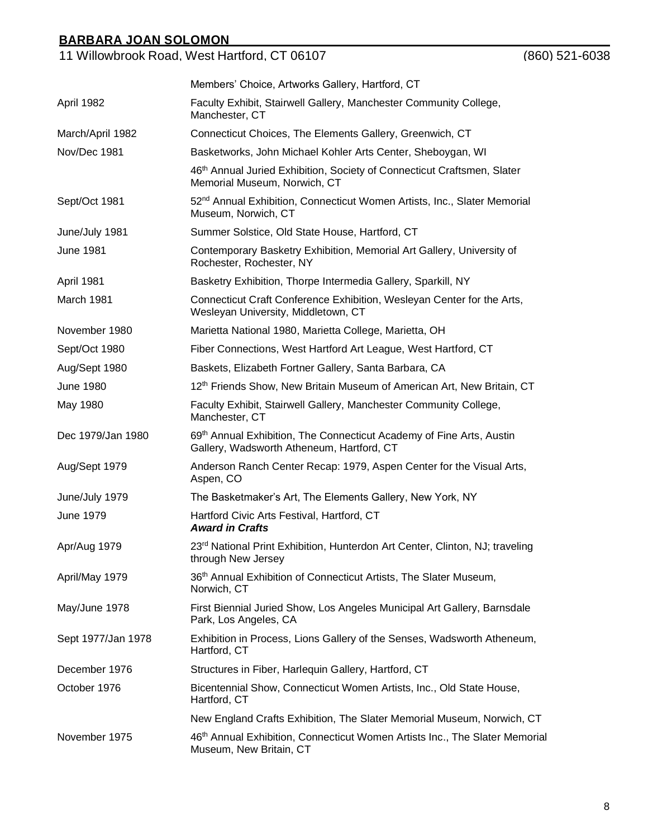| <u>BARBARA JOAN SOLOMON</u> |                                                                                                                     |                |
|-----------------------------|---------------------------------------------------------------------------------------------------------------------|----------------|
|                             | 11 Willowbrook Road, West Hartford, CT 06107                                                                        | (860) 521-6038 |
|                             | Members' Choice, Artworks Gallery, Hartford, CT                                                                     |                |
| April 1982                  | Faculty Exhibit, Stairwell Gallery, Manchester Community College,<br>Manchester, CT                                 |                |
| March/April 1982            | Connecticut Choices, The Elements Gallery, Greenwich, CT                                                            |                |
| Nov/Dec 1981                | Basketworks, John Michael Kohler Arts Center, Sheboygan, WI                                                         |                |
|                             | 46 <sup>th</sup> Annual Juried Exhibition, Society of Connecticut Craftsmen, Slater<br>Memorial Museum, Norwich, CT |                |
| Sept/Oct 1981               | 52 <sup>nd</sup> Annual Exhibition, Connecticut Women Artists, Inc., Slater Memorial<br>Museum, Norwich, CT         |                |
| June/July 1981              | Summer Solstice, Old State House, Hartford, CT                                                                      |                |
| <b>June 1981</b>            | Contemporary Basketry Exhibition, Memorial Art Gallery, University of<br>Rochester, Rochester, NY                   |                |
| April 1981                  | Basketry Exhibition, Thorpe Intermedia Gallery, Sparkill, NY                                                        |                |
| March 1981                  | Connecticut Craft Conference Exhibition, Wesleyan Center for the Arts,<br>Wesleyan University, Middletown, CT       |                |
| November 1980               | Marietta National 1980, Marietta College, Marietta, OH                                                              |                |
| Sept/Oct 1980               | Fiber Connections, West Hartford Art League, West Hartford, CT                                                      |                |
| Aug/Sept 1980               | Baskets, Elizabeth Fortner Gallery, Santa Barbara, CA                                                               |                |
| <b>June 1980</b>            | 12 <sup>th</sup> Friends Show, New Britain Museum of American Art, New Britain, CT                                  |                |
| May 1980                    | Faculty Exhibit, Stairwell Gallery, Manchester Community College,<br>Manchester. CT                                 |                |

Dec 1979/Jan 1980 69<sup>th</sup> Annual Exhibition, The Connecticut Academy of Fine Arts, Austin Gallery, Wadsworth Atheneum, Hartford, CT

Aug/Sept 1979 Anderson Ranch Center Recap: 1979, Aspen Center for the Visual Arts, Aspen, CO

June/July 1979 The Basketmaker's Art, The Elements Gallery, New York, NY

June 1979 Hartford Civic Arts Festival, Hartford, CT

*Award in Crafts* Apr/Aug 1979 23<sup>rd</sup> National Print Exhibition, Hunterdon Art Center, Clinton, NJ; traveling through New Jersey

April/May 1979 36<sup>th</sup> Annual Exhibition of Connecticut Artists, The Slater Museum, Norwich, CT

May/June 1978 First Biennial Juried Show, Los Angeles Municipal Art Gallery, Barnsdale Park, Los Angeles, CA

Sept 1977/Jan 1978 Exhibition in Process, Lions Gallery of the Senses, Wadsworth Atheneum, Hartford, CT

December 1976 Structures in Fiber, Harlequin Gallery, Hartford, CT

October 1976 Bicentennial Show, Connecticut Women Artists, Inc., Old State House, Hartford, CT

New England Crafts Exhibition, The Slater Memorial Museum, Norwich, CT

November 1975 46<sup>th</sup> Annual Exhibition, Connecticut Women Artists Inc., The Slater Memorial Museum, New Britain, CT